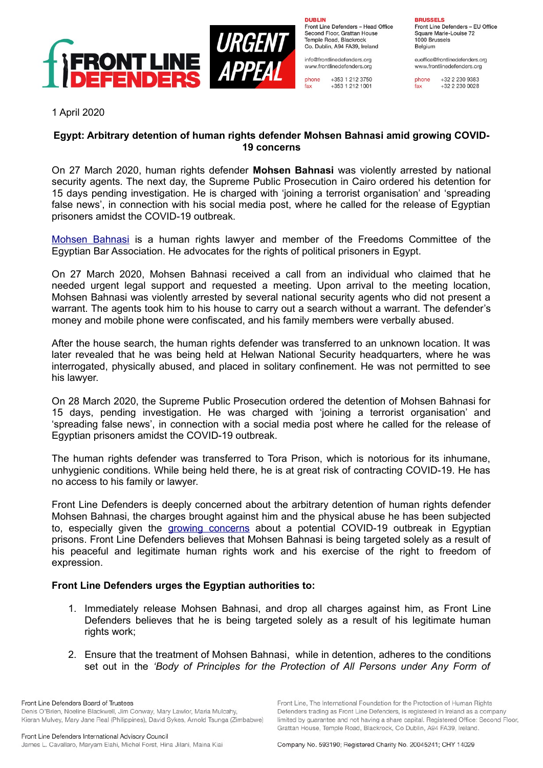

**DURLIN** Front Line Defenders - Head Office Second Floor, Grattan House Temple Boad, Blackrock Co. Dublin, A94 FA39, Ireland

info@frontlinedefenders.org www.frontlinedefenders.org

+353 1 212 3750 phone fax +353 1 212 1001

**BDHCCELC** 

Front Line Defenders - EU Office Square Marie-Louise 72 1000 Brussels Belgium

euoffice@frontlinedefenders.org www.frontlinedefenders.org

phone +32 2 230 9383 fax +32 2 230 0028

1 April 2020

## **Egypt: Arbitrary detention of human rights defender Mohsen Bahnasi amid growing COVID-19 concerns**

On 27 March 2020, human rights defender **Mohsen Bahnasi** was violently arrested by national security agents. The next day, the Supreme Public Prosecution in Cairo ordered his detention for 15 days pending investigation. He is charged with 'joining a terrorist organisation' and 'spreading false news', in connection with his social media post, where he called for the release of Egyptian prisoners amidst the COVID-19 outbreak.

[Mohsen Bahnasi](https://www.frontlinedefenders.org/en/profile/mohsen-bahnasi) is a human rights lawyer and member of the Freedoms Committee of the Egyptian Bar Association. He advocates for the rights of political prisoners in Egypt.

On 27 March 2020, Mohsen Bahnasi received a call from an individual who claimed that he needed urgent legal support and requested a meeting. Upon arrival to the meeting location, Mohsen Bahnasi was violently arrested by several national security agents who did not present a warrant. The agents took him to his house to carry out a search without a warrant. The defender's money and mobile phone were confiscated, and his family members were verbally abused.

After the house search, the human rights defender was transferred to an unknown location. It was later revealed that he was being held at Helwan National Security headquarters, where he was interrogated, physically abused, and placed in solitary confinement. He was not permitted to see his lawyer.

On 28 March 2020, the Supreme Public Prosecution ordered the detention of Mohsen Bahnasi for 15 days, pending investigation. He was charged with 'joining a terrorist organisation' and 'spreading false news', in connection with a social media post where he called for the release of Egyptian prisoners amidst the COVID-19 outbreak.

The human rights defender was transferred to Tora Prison, which is notorious for its inhumane, unhygienic conditions. While being held there, he is at great risk of contracting COVID-19. He has no access to his family or lawyer.

Front Line Defenders is deeply concerned about the arbitrary detention of human rights defender Mohsen Bahnasi, the charges brought against him and the physical abuse he has been subjected to, especially given the [growing concerns](https://www.frontlinedefenders.org/en/statement-report/egypt-should-release-imprisoned-human-rights-defenders-covid-19-spreads) about a potential COVID-19 outbreak in Egyptian prisons. Front Line Defenders believes that Mohsen Bahnasi is being targeted solely as a result of his peaceful and legitimate human rights work and his exercise of the right to freedom of expression.

## **Front Line Defenders urges the Egyptian authorities to:**

- 1. Immediately release Mohsen Bahnasi, and drop all charges against him, as Front Line Defenders believes that he is being targeted solely as a result of his legitimate human rights work;
- 2. Ensure that the treatment of Mohsen Bahnasi, while in detention, adheres to the conditions set out in the *'Body of Principles for the Protection of All Persons under Any Form of*

Front Line Defenders Board of Trustees Denis O'Brien, Noeline Blackwell, Jim Conway, Mary Lawlor, Maria Mulcahy, Kieran Mulvey, Mary Jane Real (Philippines), David Sykes, Arnold Tsunga (Zimbabwe) Front Line, The International Foundation for the Protection of Human Rights

Defenders trading as Front Line Defenders, is registered in Ireland as a company

limited by guarantee and not having a share capital. Registered Office: Second Floor,